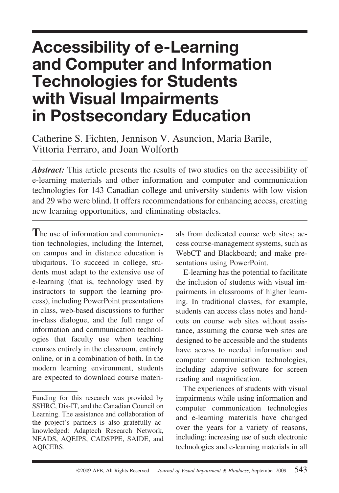# **Accessibility of e-Learning and Computer and Information Technologies for Students with Visual Impairments in Postsecondary Education**

Catherine S. Fichten, Jennison V. Asuncion, Maria Barile, Vittoria Ferraro, and Joan Wolforth

*Abstract:* This article presents the results of two studies on the accessibility of e-learning materials and other information and computer and communication technologies for 143 Canadian college and university students with low vision and 29 who were blind. It offers recommendations for enhancing access, creating new learning opportunities, and eliminating obstacles.

**T**he use of information and communication technologies, including the Internet, on campus and in distance education is ubiquitous. To succeed in college, students must adapt to the extensive use of e-learning (that is, technology used by instructors to support the learning process), including PowerPoint presentations in class, web-based discussions to further in-class dialogue, and the full range of information and communication technologies that faculty use when teaching courses entirely in the classroom, entirely online, or in a combination of both. In the modern learning environment, students are expected to download course materi-

als from dedicated course web sites; access course-management systems, such as WebCT and Blackboard; and make presentations using PowerPoint.

E-learning has the potential to facilitate the inclusion of students with visual impairments in classrooms of higher learning. In traditional classes, for example, students can access class notes and handouts on course web sites without assistance, assuming the course web sites are designed to be accessible and the students have access to needed information and computer communication technologies, including adaptive software for screen reading and magnification.

The experiences of students with visual impairments while using information and computer communication technologies and e-learning materials have changed over the years for a variety of reasons, including: increasing use of such electronic technologies and e-learning materials in all

Funding for this research was provided by SSHRC, Dis-IT, and the Canadian Council on Learning. The assistance and collaboration of the project's partners is also gratefully acknowledged: Adaptech Research Network, NEADS, AQEIPS, CADSPPE, SAIDE, and AQICEBS.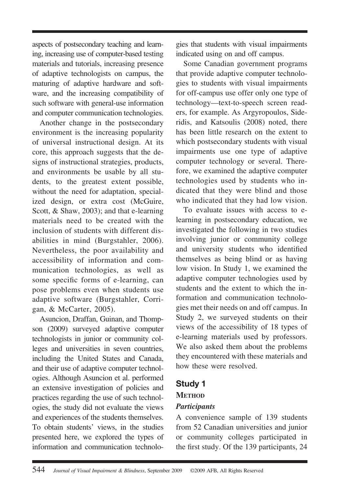aspects of postsecondary teaching and learning, increasing use of computer-based testing materials and tutorials, increasing presence of adaptive technologists on campus, the maturing of adaptive hardware and software, and the increasing compatibility of such software with general-use information and computer communication technologies.

Another change in the postsecondary environment is the increasing popularity of universal instructional design. At its core, this approach suggests that the designs of instructional strategies, products, and environments be usable by all students, to the greatest extent possible, without the need for adaptation, specialized design, or extra cost (McGuire, Scott, & Shaw, 2003); and that e-learning materials need to be created with the inclusion of students with different disabilities in mind (Burgstahler, 2006). Nevertheless, the poor availability and accessibility of information and communication technologies, as well as some specific forms of e-learning, can pose problems even when students use adaptive software (Burgstahler, Corrigan, & McCarter, 2005).

Asuncion, Draffan, Guinan, and Thompson (2009) surveyed adaptive computer technologists in junior or community colleges and universities in seven countries, including the United States and Canada, and their use of adaptive computer technologies. Although Asuncion et al. performed an extensive investigation of policies and practices regarding the use of such technologies, the study did not evaluate the views and experiences of the students themselves. To obtain students' views, in the studies presented here, we explored the types of information and communication technologies that students with visual impairments indicated using on and off campus.

Some Canadian government programs that provide adaptive computer technologies to students with visual impairments for off-campus use offer only one type of technology—text-to-speech screen readers, for example. As Argyropoulos, Sideridis, and Katsoulis (2008) noted, there has been little research on the extent to which postsecondary students with visual impairments use one type of adaptive computer technology or several. Therefore, we examined the adaptive computer technologies used by students who indicated that they were blind and those who indicated that they had low vision.

To evaluate issues with access to elearning in postsecondary education, we investigated the following in two studies involving junior or community college and university students who identified themselves as being blind or as having low vision. In Study 1, we examined the adaptive computer technologies used by students and the extent to which the information and communication technologies met their needs on and off campus. In Study 2, we surveyed students on their views of the accessibility of 18 types of e-learning materials used by professors. We also asked them about the problems they encountered with these materials and how these were resolved.

# **Study 1**

#### **METHOD**

## *Participants*

A convenience sample of 139 students from 52 Canadian universities and junior or community colleges participated in the first study. Of the 139 participants, 24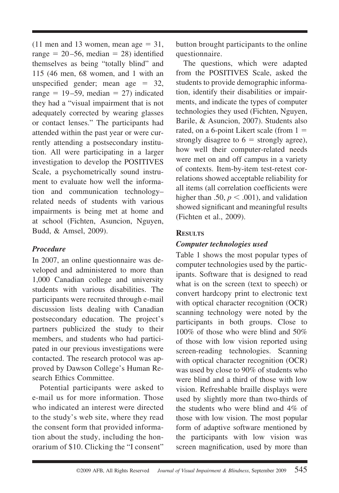(11 men and 13 women, mean age  $= 31$ , range  $= 20 - 56$ , median  $= 28$ ) identified themselves as being "totally blind" and 115 (46 men, 68 women, and 1 with an unspecified gender; mean age  $= 32$ , range  $= 19-59$ , median  $= 27$ ) indicated they had a "visual impairment that is not adequately corrected by wearing glasses or contact lenses." The participants had attended within the past year or were currently attending a postsecondary institution. All were participating in a larger investigation to develop the POSITIVES Scale, a psychometrically sound instrument to evaluate how well the information and communication technology– related needs of students with various impairments is being met at home and at school (Fichten, Asuncion, Nguyen, Budd, & Amsel, 2009).

#### *Procedure*

In 2007, an online questionnaire was developed and administered to more than 1,000 Canadian college and university students with various disabilities. The participants were recruited through e-mail discussion lists dealing with Canadian postsecondary education. The project's partners publicized the study to their members, and students who had participated in our previous investigations were contacted. The research protocol was approved by Dawson College's Human Research Ethics Committee.

Potential participants were asked to e-mail us for more information. Those who indicated an interest were directed to the study's web site, where they read the consent form that provided information about the study, including the honorarium of \$10. Clicking the "I consent"

button brought participants to the online questionnaire.

The questions, which were adapted from the POSITIVES Scale, asked the students to provide demographic information, identify their disabilities or impairments, and indicate the types of computer technologies they used (Fichten, Nguyen, Barile, & Asuncion, 2007). Students also rated, on a 6-point Likert scale (from  $1 =$ strongly disagree to  $6 =$  strongly agree), how well their computer-related needs were met on and off campus in a variety of contexts. Item-by-item test-retest correlations showed acceptable reliability for all items (all correlation coefficients were higher than .50,  $p < .001$ ), and validation showed significant and meaningful results (Fichten et al., 2009).

## **RESULTS**

#### *Computer technologies used*

Table 1 shows the most popular types of computer technologies used by the participants. Software that is designed to read what is on the screen (text to speech) or convert hardcopy print to electronic text with optical character recognition (OCR) scanning technology were noted by the participants in both groups. Close to 100% of those who were blind and 50% of those with low vision reported using screen-reading technologies. Scanning with optical character recognition (OCR) was used by close to 90% of students who were blind and a third of those with low vision. Refreshable braille displays were used by slightly more than two-thirds of the students who were blind and 4% of those with low vision. The most popular form of adaptive software mentioned by the participants with low vision was screen magnification, used by more than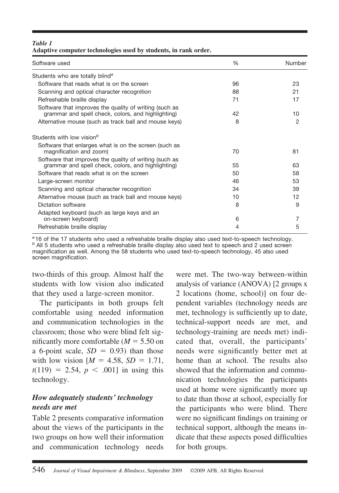| Table 1                                                         |  |  |
|-----------------------------------------------------------------|--|--|
| Adaptive computer technologies used by students, in rank order. |  |  |

| Software used                                                                                                | %  | Number |
|--------------------------------------------------------------------------------------------------------------|----|--------|
| Students who are totally blind <sup>a</sup>                                                                  |    |        |
| Software that reads what is on the screen                                                                    | 96 | 23     |
| Scanning and optical character recognition                                                                   | 88 | 21     |
| Refreshable braille display                                                                                  | 71 | 17     |
| Software that improves the quality of writing (such as<br>grammar and spell check, colors, and highlighting) | 42 | 10     |
| Alternative mouse (such as track ball and mouse keys)                                                        | 8  | 2      |
| Students with low vision <sup>b</sup>                                                                        |    |        |
| Software that enlarges what is on the screen (such as<br>magnification and zoom)                             | 70 | 81     |
| Software that improves the quality of writing (such as<br>grammar and spell check, colors, and highlighting) | 55 | 63     |
| Software that reads what is on the screen                                                                    | 50 | 58     |
| Large-screen monitor                                                                                         | 46 | 53     |
| Scanning and optical character recognition                                                                   | 34 | 39     |
| Alternative mouse (such as track ball and mouse keys)                                                        | 10 | 12     |
| Dictation software                                                                                           | 8  | 9      |
| Adapted keyboard (such as large keys and an<br>on-screen keyboard)                                           | 6  | 7      |
| Refreshable braille display                                                                                  | 4  | 5      |

*<sup>a</sup>*16 of the 17 students who used a refreshable braille display also used text-to-speech technology. *<sup>b</sup>* All 5 students who used a refreshable braille display also used text to speech and 2 used screen magnification as well. Among the 58 students who used text-to-speech technology, 45 also used screen magnification.

two-thirds of this group. Almost half the students with low vision also indicated that they used a large-screen monitor.

The participants in both groups felt comfortable using needed information and communication technologies in the classroom; those who were blind felt significantly more comfortable ( $M = 5.50$  on a 6-point scale,  $SD = 0.93$ ) than those with low vision  $[M = 4.58, SD = 1.71,$  $t(119) = 2.54, p < .001$ ] in using this technology.

## *How adequately students' technology needs are met*

Table 2 presents comparative information about the views of the participants in the two groups on how well their information and communication technology needs were met. The two-way between-within analysis of variance (ANOVA) [2 groups x 2 locations (home, school)] on four dependent variables (technology needs are met, technology is sufficiently up to date, technical-support needs are met, and technology-training are needs met) indicated that, overall, the participants' needs were significantly better met at home than at school. The results also showed that the information and communication technologies the participants used at home were significantly more up to date than those at school, especially for the participants who were blind. There were no significant findings on training or technical support, although the means indicate that these aspects posed difficulties for both groups.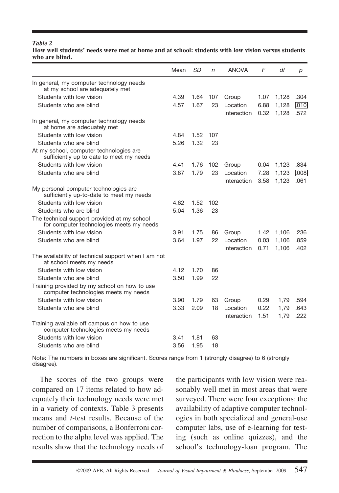#### *Table 2* **How well students' needs were met at home and at school: students with low vision versus students who are blind.**

|                                                                                         | Mean | SD   | n   | <b>ANOVA</b>            | F            | df             | р            |
|-----------------------------------------------------------------------------------------|------|------|-----|-------------------------|--------------|----------------|--------------|
| In general, my computer technology needs<br>at my school are adequately met             |      |      |     |                         |              |                |              |
| Students with low vision                                                                | 4.39 | 1.64 | 107 | Group                   | 1.07         | 1,128          | .304         |
| Students who are blind                                                                  | 4.57 | 1.67 | 23  | Location<br>Interaction | 6.88<br>0.32 | 1,128<br>1,128 | .010<br>.572 |
| In general, my computer technology needs<br>at home are adequately met                  |      |      |     |                         |              |                |              |
| Students with low vision                                                                | 4.84 | 1.52 | 107 |                         |              |                |              |
| Students who are blind                                                                  | 5.26 | 1.32 | 23  |                         |              |                |              |
| At my school, computer technologies are<br>sufficiently up to date to meet my needs     |      |      |     |                         |              |                |              |
| Students with low vision                                                                | 4.41 | 1.76 | 102 | Group                   | 0.04         | 1,123          | .834         |
| Students who are blind                                                                  | 3.87 | 1.79 | 23  | Location<br>Interaction | 7.28<br>3.58 | 1,123<br>1,123 | .008<br>.061 |
| My personal computer technologies are<br>sufficiently up-to-date to meet my needs       |      |      |     |                         |              |                |              |
| Students with low vision                                                                | 4.62 | 1.52 | 102 |                         |              |                |              |
| Students who are blind                                                                  | 5.04 | 1.36 | 23  |                         |              |                |              |
| The technical support provided at my school<br>for computer technologies meets my needs |      |      |     |                         |              |                |              |
| Students with low vision                                                                | 3.91 | 1.75 | 86  | Group                   | 1.42         | 1,106          | .236         |
| Students who are blind                                                                  | 3.64 | 1.97 | 22  | Location<br>Interaction | 0.03<br>0.71 | 1,106<br>1,106 | .859<br>.402 |
| The availability of technical support when I am not<br>at school meets my needs         |      |      |     |                         |              |                |              |
| Students with low vision                                                                | 4.12 | 1.70 | 86  |                         |              |                |              |
| Students who are blind                                                                  | 3.50 | 1.99 | 22  |                         |              |                |              |
| Training provided by my school on how to use<br>computer technologies meets my needs    |      |      |     |                         |              |                |              |
| Students with low vision                                                                | 3.90 | 1.79 | 63  | Group                   | 0.29         | 1,79           | .594         |
| Students who are blind                                                                  | 3.33 | 2.09 | 18  | Location<br>Interaction | 0.22<br>1.51 | 1,79<br>1,79   | .643<br>.222 |
| Training available off campus on how to use<br>computer technologies meets my needs     |      |      |     |                         |              |                |              |
| Students with low vision                                                                | 3.41 | 1.81 | 63  |                         |              |                |              |
| Students who are blind                                                                  | 3.56 | 1.95 | 18  |                         |              |                |              |

Note: The numbers in boxes are significant. Scores range from 1 (strongly disagree) to 6 (strongly disagree).

The scores of the two groups were compared on 17 items related to how adequately their technology needs were met in a variety of contexts. Table 3 presents means and *t-*test results. Because of the number of comparisons, a Bonferroni correction to the alpha level was applied. The results show that the technology needs of

the participants with low vision were reasonably well met in most areas that were surveyed. There were four exceptions: the availability of adaptive computer technologies in both specialized and general-use computer labs, use of e-learning for testing (such as online quizzes), and the school's technology-loan program. The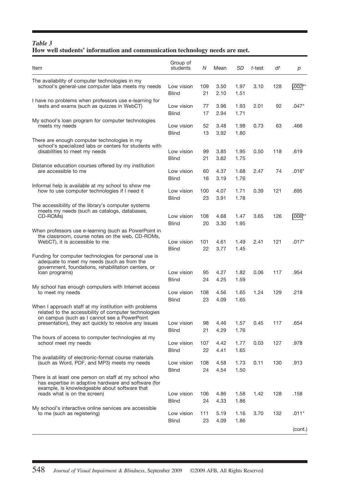#### *Table 3* **How well students' information and communication technology needs are met.**

| Item                                                                                                                                                            | Group of<br>students       | N              | Mean         | SD                   | t-test | df  | р        |
|-----------------------------------------------------------------------------------------------------------------------------------------------------------------|----------------------------|----------------|--------------|----------------------|--------|-----|----------|
| The availability of computer technologies in my<br>school's general-use computer labs meets my needs                                                            | Low vision<br>Blind        | 109<br>21      | 3.50<br>2.10 | 1.97<br>1.51         | 3.10   | 128 | l.002 *∶ |
| I have no problems when professors use e-learning for<br>tests and exams (such as quizzes in WebCT)                                                             | Low vision<br>Blind        | 77<br>17       | 3.96<br>2.94 | 1.93<br>1.71         | 2.01   | 92  | .047*    |
| My school's loan program for computer technologies<br>meets my needs                                                                                            | Low vision<br>Blind        | 52<br>13       | 3.48<br>3.92 | 1.98<br>1.80         | 0.73   | 63  | .466     |
| There are enough computer technologies in my<br>school's specialized labs or centers for students with<br>disabilities to meet my needs                         | Low vision<br>Blind        | 99             | 3.85<br>3.62 | 1.95                 | 0.50   | 118 | .619     |
| Distance education courses offered by my institution<br>are accessible to me                                                                                    | Low vision<br>Blind        | 21<br>60<br>16 | 4.37<br>3.19 | 1.75<br>1.68<br>1.76 | 2.47   | 74  | $.016*$  |
| Informal help is available at my school to show me<br>how to use computer technologies if I need it                                                             | Low vision<br>Blind        | 100<br>23      | 4.07<br>3.91 | 1.71<br>1.78         | 0.39   | 121 | .695     |
| The accessibility of the library's computer systems<br>meets my needs (such as catalogs, databases,<br>CD-ROMs)                                                 | Low vision<br><b>Blind</b> | 108<br>20      | 4.68<br>3.30 | 1.47<br>1.95         | 3.65   | 126 | !006**   |
| When professors use e-learning (such as PowerPoint in<br>the classroom, course notes on the web, CD-ROMs,<br>WebCT), it is accessible to me                     | Low vision<br>Blind        | 101<br>22      | 4.61<br>3.77 | 1.49<br>1.45         | 2.41   | 121 | $.017*$  |
| Funding for computer technologies for personal use is<br>adequate to meet my needs (such as from the<br>government, foundations, rehabilitation centers, or     |                            |                |              |                      |        |     |          |
| loan programs)                                                                                                                                                  | Low vision<br>Blind        | 95<br>24       | 4.27<br>4.25 | 1.82<br>1.59         | 0.06   | 117 | .954     |
| My school has enough computers with Internet access<br>to meet my needs                                                                                         | Low vision<br>Blind        | 108<br>23      | 4.56<br>4.09 | 1.65<br>1.65         | 1.24   | 129 | .218     |
| When I approach staff at my institution with problems<br>related to the accessibility of computer technologies<br>on campus (such as I cannot see a PowerPoint  |                            |                |              |                      |        |     |          |
| presentation), they act quickly to resolve any issues                                                                                                           | Low vision<br>Blind        | 98<br>21       | 4.46<br>4.29 | 1.57<br>1.76         | 0.45   | 117 | .654     |
| The hours of access to computer technologies at my<br>school meet my needs                                                                                      | Low vision<br>Blind        | 107<br>22      | 4.42<br>4.41 | 1.77<br>1.65         | 0.03   | 127 | .978     |
| The availability of electronic-format course materials<br>(such as Word, PDF, and MP3) meets my needs                                                           | Low vision<br>Blind        | 108<br>24      | 4.58<br>4.54 | 1.73<br>1.50         | 0.11   | 130 | .913     |
| There is at least one person on staff at my school who<br>has expertise in adaptive hardware and software (for<br>example, is knowledgeable about software that |                            |                |              |                      |        |     |          |
| reads what is on the screen)                                                                                                                                    | Low vision<br><b>Blind</b> | 106<br>24      | 4.86<br>4.33 | 1.58<br>1.86         | 1.42   | 128 | .158     |
| My school's interactive online services are accessible<br>to me (such as registering)                                                                           | Low vision<br>Blind        | 111<br>23      | 5.19<br>4.09 | 1.16<br>1.86         | 3.70   | 132 | $.011*$  |
|                                                                                                                                                                 |                            |                |              |                      |        |     | (cont.)  |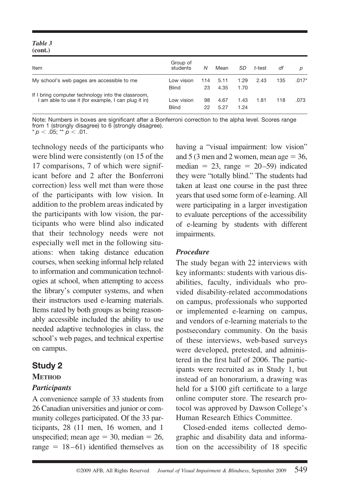#### *Table 3* **(cont.)**

| Item                                                                                                      | Group of<br>students       | Ν         | Mean         | SD           | t-test | df  |         |
|-----------------------------------------------------------------------------------------------------------|----------------------------|-----------|--------------|--------------|--------|-----|---------|
| My school's web pages are accessible to me                                                                | Low vision<br><b>Blind</b> | 114<br>23 | 5.11<br>4.35 | 1.29<br>1.70 | 2.43   | 135 | $.017*$ |
| If I bring computer technology into the classroom,<br>I am able to use it (for example, I can plug it in) | Low vision<br><b>Blind</b> | 98<br>22  | 4.67<br>5.27 | 1.43<br>1.24 | 1.81   | 118 | .073    |

Note: Numbers in boxes are significant after a Bonferroni correction to the alpha level. Scores range from 1 (strongly disagree) to 6 (strongly disagree).  $*$   $p < .05; ** p < .01.$ 

technology needs of the participants who were blind were consistently (on 15 of the 17 comparisons, 7 of which were significant before and 2 after the Bonferroni correction) less well met than were those of the participants with low vision. In addition to the problem areas indicated by the participants with low vision, the participants who were blind also indicated that their technology needs were not especially well met in the following situations: when taking distance education courses, when seeking informal help related to information and communication technologies at school, when attempting to access the library's computer systems, and when their instructors used e-learning materials. Items rated by both groups as being reasonably accessible included the ability to use needed adaptive technologies in class, the school's web pages, and technical expertise on campus.

## **Study 2**

# **METHOD**

## *Participants*

A convenience sample of 33 students from 26 Canadian universities and junior or community colleges participated. Of the 33 participants, 28 (11 men, 16 women, and 1 unspecified; mean age  $= 30$ , median  $= 26$ , range  $= 18 - 61$ ) identified themselves as

having a "visual impairment: low vision" and  $5(3 \text{ men and } 2 \text{ women}, \text{mean age} = 36,$ median  $= 23$ , range  $= 20 - 59$ ) indicated they were "totally blind." The students had taken at least one course in the past three years that used some form of e-learning. All were participating in a larger investigation to evaluate perceptions of the accessibility of e-learning by students with different impairments.

## *Procedure*

The study began with 22 interviews with key informants: students with various disabilities, faculty, individuals who provided disability-related accommodations on campus, professionals who supported or implemented e-learning on campus, and vendors of e-learning materials to the postsecondary community. On the basis of these interviews, web-based surveys were developed, pretested, and administered in the first half of 2006. The participants were recruited as in Study 1, but instead of an honorarium, a drawing was held for a \$100 gift certificate to a large online computer store. The research protocol was approved by Dawson College's Human Research Ethics Committee.

Closed-ended items collected demographic and disability data and information on the accessibility of 18 specific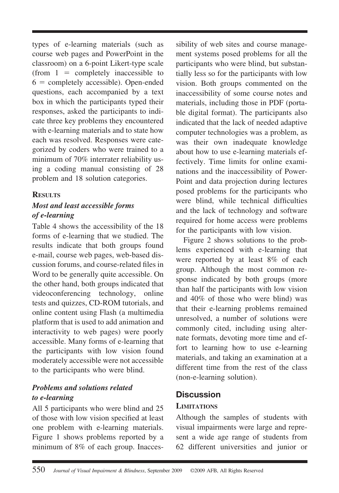types of e-learning materials (such as course web pages and PowerPoint in the classroom) on a 6-point Likert-type scale (from  $1 =$  completely inaccessible to  $6 =$  completely accessible). Open-ended questions, each accompanied by a text box in which the participants typed their responses, asked the participants to indicate three key problems they encountered with e-learning materials and to state how each was resolved. Responses were categorized by coders who were trained to a minimum of 70% interrater reliability using a coding manual consisting of 28 problem and 18 solution categories.

#### **RESULTS**

## *Most and least accessible forms of e-learning*

Table 4 shows the accessibility of the 18 forms of e-learning that we studied. The results indicate that both groups found e-mail, course web pages, web-based discussion forums, and course-related files in Word to be generally quite accessible. On the other hand, both groups indicated that videoconferencing technology, online tests and quizzes, CD-ROM tutorials, and online content using Flash (a multimedia platform that is used to add animation and interactivity to web pages) were poorly accessible. Many forms of e-learning that the participants with low vision found moderately accessible were not accessible to the participants who were blind.

## *Problems and solutions related to e-learning*

All 5 participants who were blind and 25 of those with low vision specified at least one problem with e-learning materials. Figure 1 shows problems reported by a minimum of 8% of each group. Inaccessibility of web sites and course management systems posed problems for all the participants who were blind, but substantially less so for the participants with low vision. Both groups commented on the inaccessibility of some course notes and materials, including those in PDF (portable digital format). The participants also indicated that the lack of needed adaptive computer technologies was a problem, as was their own inadequate knowledge about how to use e-learning materials effectively. Time limits for online examinations and the inaccessibility of Power-Point and data projection during lectures posed problems for the participants who were blind, while technical difficulties and the lack of technology and software required for home access were problems for the participants with low vision.

Figure 2 shows solutions to the problems experienced with e-learning that were reported by at least 8% of each group. Although the most common response indicated by both groups (more than half the participants with low vision and 40% of those who were blind) was that their e-learning problems remained unresolved, a number of solutions were commonly cited, including using alternate formats, devoting more time and effort to learning how to use e-learning materials, and taking an examination at a different time from the rest of the class (non-e-learning solution).

# **Discussion**

## **LIMITATIONS**

Although the samples of students with visual impairments were large and represent a wide age range of students from 62 different universities and junior or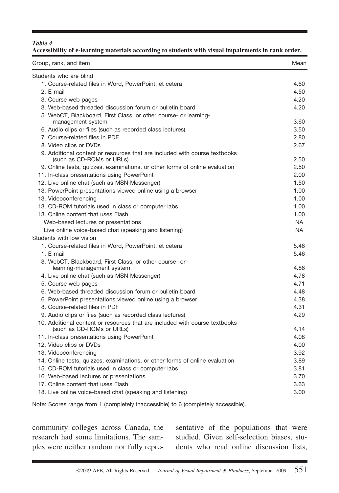#### *Table 4* **Accessibility of e-learning materials according to students with visual impairments in rank order.**

| Students who are blind<br>1. Course-related files in Word, PowerPoint, et cetera<br>4.60<br>2. E-mail<br>4.50<br>4.20<br>3. Course web pages<br>4.20<br>3. Web-based threaded discussion forum or bulletin board<br>5. WebCT, Blackboard, First Class, or other course- or learning-<br>3.60<br>management system<br>3.50<br>6. Audio clips or files (such as recorded class lectures)<br>7. Course-related files in PDF<br>2.80<br>8. Video clips or DVDs<br>2.67<br>9. Additional content or resources that are included with course textbooks<br>2.50<br>(such as CD-ROMs or URLs)<br>2.50<br>9. Online tests, quizzes, examinations, or other forms of online evaluation<br>11. In-class presentations using PowerPoint<br>2.00<br>12. Live online chat (such as MSN Messenger)<br>1.50<br>13. PowerPoint presentations viewed online using a browser<br>1.00<br>13. Videoconferencing<br>1.00<br>13. CD-ROM tutorials used in class or computer labs<br>1.00<br>1.00<br>13. Online content that uses Flash<br><b>NA</b><br>Web-based lectures or presentations<br><b>NA</b><br>Live online voice-based chat (speaking and listening)<br>Students with low vision<br>1. Course-related files in Word, PowerPoint, et cetera<br>5.46<br>1. E-mail<br>5.46<br>3. WebCT, Blackboard, First Class, or other course- or<br>learning-management system<br>4.86<br>4. Live online chat (such as MSN Messenger)<br>4.78<br>4.71<br>5. Course web pages<br>6. Web-based threaded discussion forum or bulletin board<br>4.48<br>4.38<br>6. PowerPoint presentations viewed online using a browser<br>8. Course-related files in PDF<br>4.31<br>4.29<br>9. Audio clips or files (such as recorded class lectures)<br>10. Additional content or resources that are included with course textbooks<br>4.14<br>(such as CD-ROMs or URLs)<br>4.08<br>11. In-class presentations using PowerPoint<br>12. Video clips or DVDs<br>4.00<br>13. Videoconferencing<br>3.92<br>3.89<br>14. Online tests, quizzes, examinations, or other forms of online evaluation<br>15. CD-ROM tutorials used in class or computer labs<br>3.81<br>3.70<br>16. Web-based lectures or presentations<br>3.63<br>17. Online content that uses Flash<br>18. Live online voice-based chat (speaking and listening)<br>3.00 | Group, rank, and item | Mean |
|----------------------------------------------------------------------------------------------------------------------------------------------------------------------------------------------------------------------------------------------------------------------------------------------------------------------------------------------------------------------------------------------------------------------------------------------------------------------------------------------------------------------------------------------------------------------------------------------------------------------------------------------------------------------------------------------------------------------------------------------------------------------------------------------------------------------------------------------------------------------------------------------------------------------------------------------------------------------------------------------------------------------------------------------------------------------------------------------------------------------------------------------------------------------------------------------------------------------------------------------------------------------------------------------------------------------------------------------------------------------------------------------------------------------------------------------------------------------------------------------------------------------------------------------------------------------------------------------------------------------------------------------------------------------------------------------------------------------------------------------------------------------------------------------------------------------------------------------------------------------------------------------------------------------------------------------------------------------------------------------------------------------------------------------------------------------------------------------------------------------------------------------------------------------------------------------------------------------------------------------------------------------------------------|-----------------------|------|
|                                                                                                                                                                                                                                                                                                                                                                                                                                                                                                                                                                                                                                                                                                                                                                                                                                                                                                                                                                                                                                                                                                                                                                                                                                                                                                                                                                                                                                                                                                                                                                                                                                                                                                                                                                                                                                                                                                                                                                                                                                                                                                                                                                                                                                                                                        |                       |      |
|                                                                                                                                                                                                                                                                                                                                                                                                                                                                                                                                                                                                                                                                                                                                                                                                                                                                                                                                                                                                                                                                                                                                                                                                                                                                                                                                                                                                                                                                                                                                                                                                                                                                                                                                                                                                                                                                                                                                                                                                                                                                                                                                                                                                                                                                                        |                       |      |
|                                                                                                                                                                                                                                                                                                                                                                                                                                                                                                                                                                                                                                                                                                                                                                                                                                                                                                                                                                                                                                                                                                                                                                                                                                                                                                                                                                                                                                                                                                                                                                                                                                                                                                                                                                                                                                                                                                                                                                                                                                                                                                                                                                                                                                                                                        |                       |      |
|                                                                                                                                                                                                                                                                                                                                                                                                                                                                                                                                                                                                                                                                                                                                                                                                                                                                                                                                                                                                                                                                                                                                                                                                                                                                                                                                                                                                                                                                                                                                                                                                                                                                                                                                                                                                                                                                                                                                                                                                                                                                                                                                                                                                                                                                                        |                       |      |
|                                                                                                                                                                                                                                                                                                                                                                                                                                                                                                                                                                                                                                                                                                                                                                                                                                                                                                                                                                                                                                                                                                                                                                                                                                                                                                                                                                                                                                                                                                                                                                                                                                                                                                                                                                                                                                                                                                                                                                                                                                                                                                                                                                                                                                                                                        |                       |      |
|                                                                                                                                                                                                                                                                                                                                                                                                                                                                                                                                                                                                                                                                                                                                                                                                                                                                                                                                                                                                                                                                                                                                                                                                                                                                                                                                                                                                                                                                                                                                                                                                                                                                                                                                                                                                                                                                                                                                                                                                                                                                                                                                                                                                                                                                                        |                       |      |
|                                                                                                                                                                                                                                                                                                                                                                                                                                                                                                                                                                                                                                                                                                                                                                                                                                                                                                                                                                                                                                                                                                                                                                                                                                                                                                                                                                                                                                                                                                                                                                                                                                                                                                                                                                                                                                                                                                                                                                                                                                                                                                                                                                                                                                                                                        |                       |      |
|                                                                                                                                                                                                                                                                                                                                                                                                                                                                                                                                                                                                                                                                                                                                                                                                                                                                                                                                                                                                                                                                                                                                                                                                                                                                                                                                                                                                                                                                                                                                                                                                                                                                                                                                                                                                                                                                                                                                                                                                                                                                                                                                                                                                                                                                                        |                       |      |
|                                                                                                                                                                                                                                                                                                                                                                                                                                                                                                                                                                                                                                                                                                                                                                                                                                                                                                                                                                                                                                                                                                                                                                                                                                                                                                                                                                                                                                                                                                                                                                                                                                                                                                                                                                                                                                                                                                                                                                                                                                                                                                                                                                                                                                                                                        |                       |      |
|                                                                                                                                                                                                                                                                                                                                                                                                                                                                                                                                                                                                                                                                                                                                                                                                                                                                                                                                                                                                                                                                                                                                                                                                                                                                                                                                                                                                                                                                                                                                                                                                                                                                                                                                                                                                                                                                                                                                                                                                                                                                                                                                                                                                                                                                                        |                       |      |
|                                                                                                                                                                                                                                                                                                                                                                                                                                                                                                                                                                                                                                                                                                                                                                                                                                                                                                                                                                                                                                                                                                                                                                                                                                                                                                                                                                                                                                                                                                                                                                                                                                                                                                                                                                                                                                                                                                                                                                                                                                                                                                                                                                                                                                                                                        |                       |      |
|                                                                                                                                                                                                                                                                                                                                                                                                                                                                                                                                                                                                                                                                                                                                                                                                                                                                                                                                                                                                                                                                                                                                                                                                                                                                                                                                                                                                                                                                                                                                                                                                                                                                                                                                                                                                                                                                                                                                                                                                                                                                                                                                                                                                                                                                                        |                       |      |
|                                                                                                                                                                                                                                                                                                                                                                                                                                                                                                                                                                                                                                                                                                                                                                                                                                                                                                                                                                                                                                                                                                                                                                                                                                                                                                                                                                                                                                                                                                                                                                                                                                                                                                                                                                                                                                                                                                                                                                                                                                                                                                                                                                                                                                                                                        |                       |      |
|                                                                                                                                                                                                                                                                                                                                                                                                                                                                                                                                                                                                                                                                                                                                                                                                                                                                                                                                                                                                                                                                                                                                                                                                                                                                                                                                                                                                                                                                                                                                                                                                                                                                                                                                                                                                                                                                                                                                                                                                                                                                                                                                                                                                                                                                                        |                       |      |
|                                                                                                                                                                                                                                                                                                                                                                                                                                                                                                                                                                                                                                                                                                                                                                                                                                                                                                                                                                                                                                                                                                                                                                                                                                                                                                                                                                                                                                                                                                                                                                                                                                                                                                                                                                                                                                                                                                                                                                                                                                                                                                                                                                                                                                                                                        |                       |      |
|                                                                                                                                                                                                                                                                                                                                                                                                                                                                                                                                                                                                                                                                                                                                                                                                                                                                                                                                                                                                                                                                                                                                                                                                                                                                                                                                                                                                                                                                                                                                                                                                                                                                                                                                                                                                                                                                                                                                                                                                                                                                                                                                                                                                                                                                                        |                       |      |
|                                                                                                                                                                                                                                                                                                                                                                                                                                                                                                                                                                                                                                                                                                                                                                                                                                                                                                                                                                                                                                                                                                                                                                                                                                                                                                                                                                                                                                                                                                                                                                                                                                                                                                                                                                                                                                                                                                                                                                                                                                                                                                                                                                                                                                                                                        |                       |      |
|                                                                                                                                                                                                                                                                                                                                                                                                                                                                                                                                                                                                                                                                                                                                                                                                                                                                                                                                                                                                                                                                                                                                                                                                                                                                                                                                                                                                                                                                                                                                                                                                                                                                                                                                                                                                                                                                                                                                                                                                                                                                                                                                                                                                                                                                                        |                       |      |
|                                                                                                                                                                                                                                                                                                                                                                                                                                                                                                                                                                                                                                                                                                                                                                                                                                                                                                                                                                                                                                                                                                                                                                                                                                                                                                                                                                                                                                                                                                                                                                                                                                                                                                                                                                                                                                                                                                                                                                                                                                                                                                                                                                                                                                                                                        |                       |      |
|                                                                                                                                                                                                                                                                                                                                                                                                                                                                                                                                                                                                                                                                                                                                                                                                                                                                                                                                                                                                                                                                                                                                                                                                                                                                                                                                                                                                                                                                                                                                                                                                                                                                                                                                                                                                                                                                                                                                                                                                                                                                                                                                                                                                                                                                                        |                       |      |
|                                                                                                                                                                                                                                                                                                                                                                                                                                                                                                                                                                                                                                                                                                                                                                                                                                                                                                                                                                                                                                                                                                                                                                                                                                                                                                                                                                                                                                                                                                                                                                                                                                                                                                                                                                                                                                                                                                                                                                                                                                                                                                                                                                                                                                                                                        |                       |      |
|                                                                                                                                                                                                                                                                                                                                                                                                                                                                                                                                                                                                                                                                                                                                                                                                                                                                                                                                                                                                                                                                                                                                                                                                                                                                                                                                                                                                                                                                                                                                                                                                                                                                                                                                                                                                                                                                                                                                                                                                                                                                                                                                                                                                                                                                                        |                       |      |
|                                                                                                                                                                                                                                                                                                                                                                                                                                                                                                                                                                                                                                                                                                                                                                                                                                                                                                                                                                                                                                                                                                                                                                                                                                                                                                                                                                                                                                                                                                                                                                                                                                                                                                                                                                                                                                                                                                                                                                                                                                                                                                                                                                                                                                                                                        |                       |      |
|                                                                                                                                                                                                                                                                                                                                                                                                                                                                                                                                                                                                                                                                                                                                                                                                                                                                                                                                                                                                                                                                                                                                                                                                                                                                                                                                                                                                                                                                                                                                                                                                                                                                                                                                                                                                                                                                                                                                                                                                                                                                                                                                                                                                                                                                                        |                       |      |
|                                                                                                                                                                                                                                                                                                                                                                                                                                                                                                                                                                                                                                                                                                                                                                                                                                                                                                                                                                                                                                                                                                                                                                                                                                                                                                                                                                                                                                                                                                                                                                                                                                                                                                                                                                                                                                                                                                                                                                                                                                                                                                                                                                                                                                                                                        |                       |      |
|                                                                                                                                                                                                                                                                                                                                                                                                                                                                                                                                                                                                                                                                                                                                                                                                                                                                                                                                                                                                                                                                                                                                                                                                                                                                                                                                                                                                                                                                                                                                                                                                                                                                                                                                                                                                                                                                                                                                                                                                                                                                                                                                                                                                                                                                                        |                       |      |
|                                                                                                                                                                                                                                                                                                                                                                                                                                                                                                                                                                                                                                                                                                                                                                                                                                                                                                                                                                                                                                                                                                                                                                                                                                                                                                                                                                                                                                                                                                                                                                                                                                                                                                                                                                                                                                                                                                                                                                                                                                                                                                                                                                                                                                                                                        |                       |      |
|                                                                                                                                                                                                                                                                                                                                                                                                                                                                                                                                                                                                                                                                                                                                                                                                                                                                                                                                                                                                                                                                                                                                                                                                                                                                                                                                                                                                                                                                                                                                                                                                                                                                                                                                                                                                                                                                                                                                                                                                                                                                                                                                                                                                                                                                                        |                       |      |
|                                                                                                                                                                                                                                                                                                                                                                                                                                                                                                                                                                                                                                                                                                                                                                                                                                                                                                                                                                                                                                                                                                                                                                                                                                                                                                                                                                                                                                                                                                                                                                                                                                                                                                                                                                                                                                                                                                                                                                                                                                                                                                                                                                                                                                                                                        |                       |      |
|                                                                                                                                                                                                                                                                                                                                                                                                                                                                                                                                                                                                                                                                                                                                                                                                                                                                                                                                                                                                                                                                                                                                                                                                                                                                                                                                                                                                                                                                                                                                                                                                                                                                                                                                                                                                                                                                                                                                                                                                                                                                                                                                                                                                                                                                                        |                       |      |
|                                                                                                                                                                                                                                                                                                                                                                                                                                                                                                                                                                                                                                                                                                                                                                                                                                                                                                                                                                                                                                                                                                                                                                                                                                                                                                                                                                                                                                                                                                                                                                                                                                                                                                                                                                                                                                                                                                                                                                                                                                                                                                                                                                                                                                                                                        |                       |      |
|                                                                                                                                                                                                                                                                                                                                                                                                                                                                                                                                                                                                                                                                                                                                                                                                                                                                                                                                                                                                                                                                                                                                                                                                                                                                                                                                                                                                                                                                                                                                                                                                                                                                                                                                                                                                                                                                                                                                                                                                                                                                                                                                                                                                                                                                                        |                       |      |
|                                                                                                                                                                                                                                                                                                                                                                                                                                                                                                                                                                                                                                                                                                                                                                                                                                                                                                                                                                                                                                                                                                                                                                                                                                                                                                                                                                                                                                                                                                                                                                                                                                                                                                                                                                                                                                                                                                                                                                                                                                                                                                                                                                                                                                                                                        |                       |      |
|                                                                                                                                                                                                                                                                                                                                                                                                                                                                                                                                                                                                                                                                                                                                                                                                                                                                                                                                                                                                                                                                                                                                                                                                                                                                                                                                                                                                                                                                                                                                                                                                                                                                                                                                                                                                                                                                                                                                                                                                                                                                                                                                                                                                                                                                                        |                       |      |
|                                                                                                                                                                                                                                                                                                                                                                                                                                                                                                                                                                                                                                                                                                                                                                                                                                                                                                                                                                                                                                                                                                                                                                                                                                                                                                                                                                                                                                                                                                                                                                                                                                                                                                                                                                                                                                                                                                                                                                                                                                                                                                                                                                                                                                                                                        |                       |      |
|                                                                                                                                                                                                                                                                                                                                                                                                                                                                                                                                                                                                                                                                                                                                                                                                                                                                                                                                                                                                                                                                                                                                                                                                                                                                                                                                                                                                                                                                                                                                                                                                                                                                                                                                                                                                                                                                                                                                                                                                                                                                                                                                                                                                                                                                                        |                       |      |
|                                                                                                                                                                                                                                                                                                                                                                                                                                                                                                                                                                                                                                                                                                                                                                                                                                                                                                                                                                                                                                                                                                                                                                                                                                                                                                                                                                                                                                                                                                                                                                                                                                                                                                                                                                                                                                                                                                                                                                                                                                                                                                                                                                                                                                                                                        |                       |      |
|                                                                                                                                                                                                                                                                                                                                                                                                                                                                                                                                                                                                                                                                                                                                                                                                                                                                                                                                                                                                                                                                                                                                                                                                                                                                                                                                                                                                                                                                                                                                                                                                                                                                                                                                                                                                                                                                                                                                                                                                                                                                                                                                                                                                                                                                                        |                       |      |
|                                                                                                                                                                                                                                                                                                                                                                                                                                                                                                                                                                                                                                                                                                                                                                                                                                                                                                                                                                                                                                                                                                                                                                                                                                                                                                                                                                                                                                                                                                                                                                                                                                                                                                                                                                                                                                                                                                                                                                                                                                                                                                                                                                                                                                                                                        |                       |      |

Note: Scores range from 1 (completely inaccessible) to 6 (completely accessible).

community colleges across Canada, the research had some limitations. The samples were neither random nor fully representative of the populations that were studied. Given self-selection biases, students who read online discussion lists,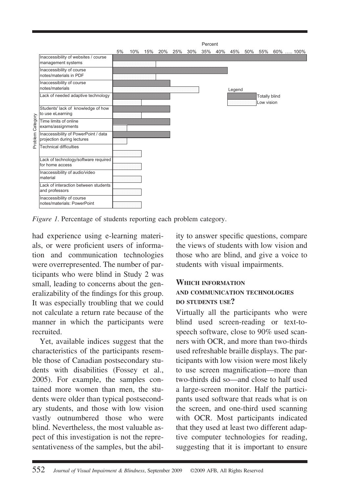

*Figure 1.* Percentage of students reporting each problem category.

had experience using e-learning materials, or were proficient users of information and communication technologies were overrepresented. The number of participants who were blind in Study 2 was small, leading to concerns about the generalizability of the findings for this group. It was especially troubling that we could not calculate a return rate because of the manner in which the participants were recruited.

Yet, available indices suggest that the characteristics of the participants resemble those of Canadian postsecondary students with disabilities (Fossey et al., 2005). For example, the samples contained more women than men, the students were older than typical postsecondary students, and those with low vision vastly outnumbered those who were blind. Nevertheless, the most valuable aspect of this investigation is not the representativeness of the samples, but the ability to answer specific questions, compare the views of students with low vision and those who are blind, and give a voice to students with visual impairments.

#### **WHICH INFORMATION AND COMMUNICATION TECHNOLOGIES DO STUDENTS USE?**

Virtually all the participants who were blind used screen-reading or text-tospeech software, close to 90% used scanners with OCR, and more than two-thirds used refreshable braille displays. The participants with low vision were most likely to use screen magnification—more than two-thirds did so—and close to half used a large-screen monitor. Half the participants used software that reads what is on the screen, and one-third used scanning with OCR. Most participants indicated that they used at least two different adaptive computer technologies for reading, suggesting that it is important to ensure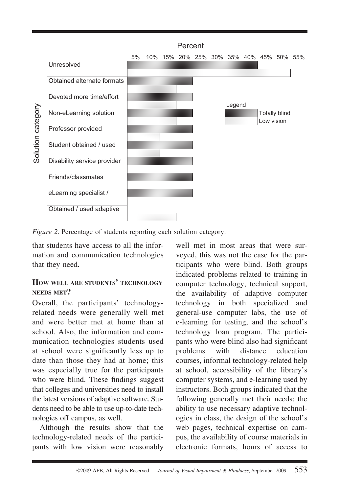

*Figure 2.* Percentage of students reporting each solution category.

that students have access to all the information and communication technologies that they need.

#### **HOW WELL ARE STUDENTS' TECHNOLOGY NEEDS MET?**

Overall, the participants' technologyrelated needs were generally well met and were better met at home than at school. Also, the information and communication technologies students used at school were significantly less up to date than those they had at home; this was especially true for the participants who were blind. These findings suggest that colleges and universities need to install the latest versions of adaptive software. Students need to be able to use up-to-date technologies off campus, as well.

Although the results show that the technology-related needs of the participants with low vision were reasonably

well met in most areas that were surveyed, this was not the case for the participants who were blind. Both groups indicated problems related to training in computer technology, technical support, the availability of adaptive computer technology in both specialized and general-use computer labs, the use of e-learning for testing, and the school's technology loan program. The participants who were blind also had significant problems with distance education courses, informal technology-related help at school, accessibility of the library's computer systems, and e-learning used by instructors. Both groups indicated that the following generally met their needs: the ability to use necessary adaptive technologies in class, the design of the school's web pages, technical expertise on campus, the availability of course materials in electronic formats, hours of access to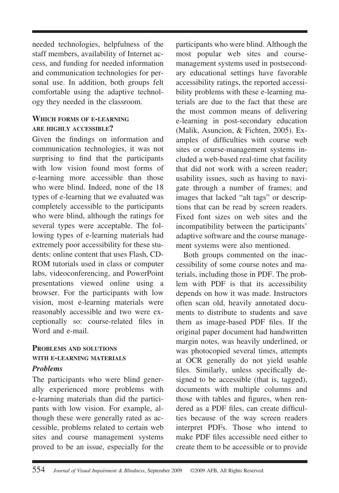needed technologies, helpfulness of the staff members, availability of Internet access, and funding for needed information and communication technologies for personal use. In addition, both groups felt comfortable using the adaptive technology they needed in the classroom.

#### **WHICH FORMS OF E-LEARNING ARE HIGHLY ACCESSIBLE?**

Given the findings on information and communication technologies, it was not surprising to find that the participants with low vision found most forms of e-learning more accessible than those who were blind. Indeed, none of the 18 types of e-learning that we evaluated was completely accessible to the participants who were blind, although the ratings for several types were acceptable. The following types of e-learning materials had extremely poor accessibility for these students: online content that uses Flash, CD-ROM tutorials used in class or computer labs, videoconferencing, and PowerPoint presentations viewed online using a browser. For the participants with low vision, most e-learning materials were reasonably accessible and two were exceptionally so: course-related files in Word and e-mail.

#### **PROBLEMS AND SOLUTIONS WITH E-LEARNING MATERIALS** *Problems*

The participants who were blind generally experienced more problems with e-learning materials than did the participants with low vision. For example, although these were generally rated as accessible, problems related to certain web sites and course management systems proved to be an issue, especially for the

participants who were blind. Although the most popular web sites and coursemanagement systems used in postsecondary educational settings have favorable accessibility ratings, the reported accessibility problems with these e-learning materials are due to the fact that these are the most common means of delivering e-learning in post-secondary education (Malik, Asuncion, & Fichten, 2005). Examples of difficulties with course web sites or course-management systems included a web-based real-time chat facility that did not work with a screen reader; usability issues, such as having to navigate through a number of frames; and images that lacked "alt tags" or descriptions that can be read by screen readers. Fixed font sizes on web sites and the incompatibility between the participants' adaptive software and the course management systems were also mentioned.

Both groups commented on the inaccessibility of some course notes and materials, including those in PDF. The problem with PDF is that its accessibility depends on how it was made. Instructors often scan old, heavily annotated documents to distribute to students and save them as image-based PDF files. If the original paper document had handwritten margin notes, was heavily underlined, or was photocopied several times, attempts at OCR generally do not yield usable files. Similarly, unless specifically designed to be accessible (that is, tagged), documents with multiple columns and those with tables and figures, when rendered as a PDF files, can create difficulties because of the way screen readers interpret PDFs. Those who intend to make PDF files accessible need either to create them to be accessible or to provide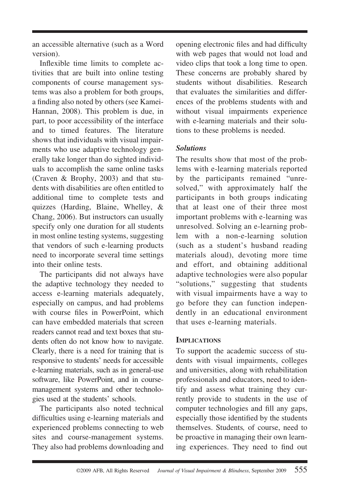an accessible alternative (such as a Word version).

Inflexible time limits to complete activities that are built into online testing components of course management systems was also a problem for both groups, a finding also noted by others (see Kamei-Hannan, 2008). This problem is due, in part, to poor accessibility of the interface and to timed features. The literature shows that individuals with visual impairments who use adaptive technology generally take longer than do sighted individuals to accomplish the same online tasks (Craven & Brophy, 2003) and that students with disabilities are often entitled to additional time to complete tests and quizzes (Harding, Blaine, Whelley, & Chang, 2006). But instructors can usually specify only one duration for all students in most online testing systems, suggesting that vendors of such e-learning products need to incorporate several time settings into their online tests.

The participants did not always have the adaptive technology they needed to access e-learning materials adequately, especially on campus, and had problems with course files in PowerPoint, which can have embedded materials that screen readers cannot read and text boxes that students often do not know how to navigate. Clearly, there is a need for training that is responsive to students' needs for accessible e-learning materials, such as in general-use software, like PowerPoint, and in coursemanagement systems and other technologies used at the students' schools.

The participants also noted technical difficulties using e-learning materials and experienced problems connecting to web sites and course-management systems. They also had problems downloading and opening electronic files and had difficulty with web pages that would not load and video clips that took a long time to open. These concerns are probably shared by students without disabilities. Research that evaluates the similarities and differences of the problems students with and without visual impairments experience with e-learning materials and their solutions to these problems is needed.

#### *Solutions*

The results show that most of the problems with e-learning materials reported by the participants remained "unresolved," with approximately half the participants in both groups indicating that at least one of their three most important problems with e-learning was unresolved. Solving an e-learning problem with a non-e-learning solution (such as a student's husband reading materials aloud), devoting more time and effort, and obtaining additional adaptive technologies were also popular "solutions," suggesting that students with visual impairments have a way to go before they can function independently in an educational environment that uses e-learning materials.

#### **IMPLICATIONS**

To support the academic success of students with visual impairments, colleges and universities, along with rehabilitation professionals and educators, need to identify and assess what training they currently provide to students in the use of computer technologies and fill any gaps, especially those identified by the students themselves. Students*,* of course, need to be proactive in managing their own learning experiences. They need to find out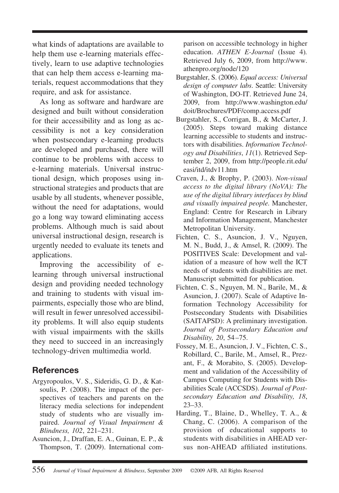what kinds of adaptations are available to help them use e-learning materials effectively, learn to use adaptive technologies that can help them access e-learning materials, request accommodations that they require, and ask for assistance.

As long as software and hardware are designed and built without consideration for their accessibility and as long as accessibility is not a key consideration when postsecondary e-learning products are developed and purchased, there will continue to be problems with access to e-learning materials. Universal instructional design, which proposes using instructional strategies and products that are usable by all students, whenever possible, without the need for adaptations, would go a long way toward eliminating access problems. Although much is said about universal instructional design, research is urgently needed to evaluate its tenets and applications.

Improving the accessibility of elearning through universal instructional design and providing needed technology and training to students with visual impairments, especially those who are blind, will result in fewer unresolved accessibility problems. It will also equip students with visual impairments with the skills they need to succeed in an increasingly technology-driven multimedia world.

# **References**

- Argyropoulos, V. S., Sideridis, G. D., & Katsoulis, P. (2008). The impact of the perspectives of teachers and parents on the literacy media selections for independent study of students who are visually impaired. *Journal of Visual Impairment & Blindness, 102*, 221–231.
- Asuncion, J., Draffan, E. A., Guinan, E. P., & Thompson, T. (2009). International com-

parison on accessible technology in higher education. *ATHEN E-Journal* (Issue 4)*.* Retrieved July 6, 2009, from http://www. athenpro.org/node/120

- Burgstahler, S. (2006). *Equal access: Universal design of computer labs*. Seattle: University of Washington, DO-IT. Retrieved June 24, 2009, from http://www.washington.edu/ doit/Brochures/PDF/comp.access.pdf
- Burgstahler, S., Corrigan, B., & McCarter, J. (2005). Steps toward making distance learning accessible to students and instructors with disabilities. *Information Technology and Disabilities*, *11*(1). Retrieved September 2, 2009, from http://people.rit.edu/ easi/itd/itdv11.htm
- Craven, J., & Brophy, P. (2003). *Non-visual access to the digital library (NoVA): The use of the digital library interfaces by blind and visually impaired people.* Manchester, England: Centre for Research in Library and Information Management, Manchester Metropolitan University.
- Fichten, C. S., Asuncion, J. V., Nguyen, M. N., Budd, J., & Amsel, R. (2009). The POSITIVES Scale: Development and validation of a measure of how well the ICT needs of students with disabilities are met. Manuscript submitted for publication.
- Fichten, C. S., Nguyen, M. N., Barile, M., & Asuncion, J. (2007). Scale of Adaptive Information Technology Accessibility for Postsecondary Students with Disabilities (SAITAPSD): A preliminary investigation. *Journal of Postsecondary Education and Disability, 20*, 54 –75.
- Fossey, M. E., Asuncion, J. V., Fichten, C. S., Robillard, C., Barile, M., Amsel, R., Prezant, F., & Morabito, S. (2005). Development and validation of the Accessibility of Campus Computing for Students with Disabilities Scale (ACCSDS). *Journal of Postsecondary Education and Disability, 18*, 23–33.
- Harding, T., Blaine, D., Whelley, T. A., & Chang, C. (2006). A comparison of the provision of educational supports to students with disabilities in AHEAD versus non-AHEAD affiliated institutions*.*